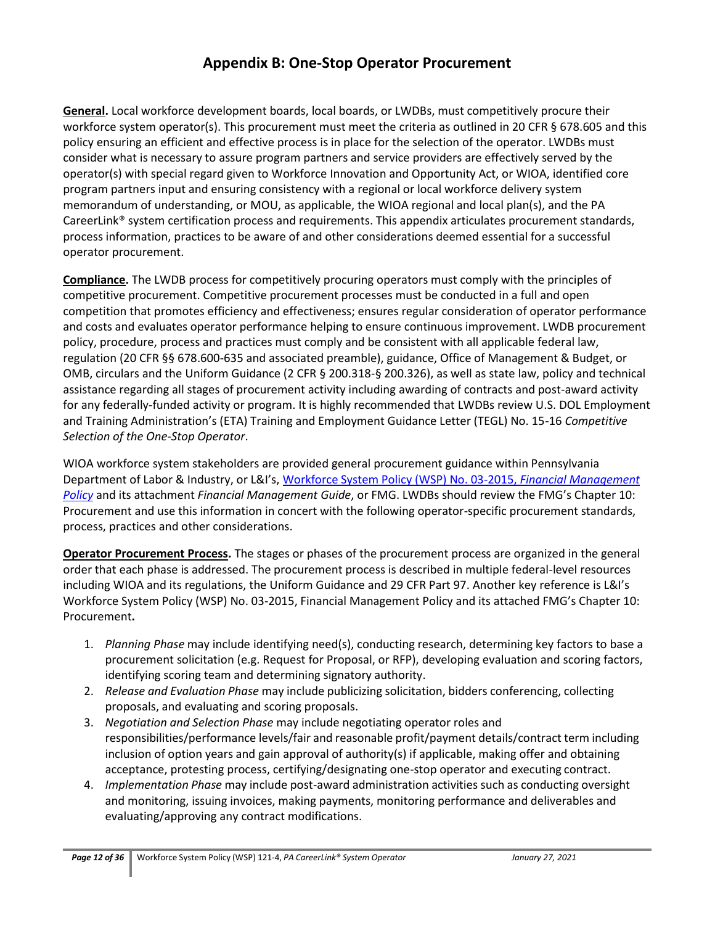**General.** Local workforce development boards, local boards, or LWDBs, must competitively procure their workforce system operator(s). This procurement must meet the criteria as outlined in 20 CFR § 678.605 and this policy ensuring an efficient and effective process is in place for the selection of the operator. LWDBs must consider what is necessary to assure program partners and service providers are effectively served by the operator(s) with special regard given to Workforce Innovation and Opportunity Act, or WIOA, identified core program partners input and ensuring consistency with a regional or local workforce delivery system memorandum of understanding, or MOU, as applicable, the WIOA regional and local plan(s), and the PA CareerLink® system certification process and requirements. This appendix articulates procurement standards, process information, practices to be aware of and other considerations deemed essential for a successful operator procurement.

**Compliance.** The LWDB process for competitively procuring operators must comply with the principles of competitive procurement. Competitive procurement processes must be conducted in a full and open competition that promotes efficiency and effectiveness; ensures regular consideration of operator performance and costs and evaluates operator performance helping to ensure continuous improvement. LWDB procurement policy, procedure, process and practices must comply and be consistent with all applicable federal law, regulation (20 CFR §§ 678.600-635 and associated preamble), guidance, Office of Management & Budget, or OMB, circulars and the Uniform Guidance (2 CFR § 200.318-§ 200.326), as well as state law, policy and technical assistance regarding all stages of procurement activity including awarding of contracts and post-award activity for any federally-funded activity or program. It is highly recommended that LWDBs review U.S. DOL Employment and Training Administration's (ETA) Training and Employment Guidance Letter (TEGL) No. 15-16 *Competitive Selection of the One-Stop Operator*.

WIOA workforce system stakeholders are provided general procurement guidance within Pennsylvania Department of Labor & Industry, or L&I's, [Workforce System Policy \(WSP\) No. 03-2015,](http://www.dli.pa.gov/Businesses/Workforce-Development/Documents/Directives/WSP%2003-2015.pdf) *Financial Management [Policy](http://www.dli.pa.gov/Businesses/Workforce-Development/Documents/Directives/WSP%2003-2015.pdf)* and its attachment *Financial Management Guide*, or FMG. LWDBs should review the FMG's Chapter 10: Procurement and use this information in concert with the following operator-specific procurement standards, process, practices and other considerations.

**Operator Procurement Process.** The stages or phases of the procurement process are organized in the general order that each phase is addressed. The procurement process is described in multiple federal-level resources including WIOA and its regulations, the Uniform Guidance and 29 CFR Part 97. Another key reference is L&I's Workforce System Policy (WSP) No. 03-2015, Financial Management Policy and its attached FMG's Chapter 10: Procurement**.**

- 1. *Planning Phase* may include identifying need(s), conducting research, determining key factors to base a procurement solicitation (e.g. Request for Proposal, or RFP), developing evaluation and scoring factors, identifying scoring team and determining signatory authority.
- 2. *Release and Evaluation Phase* may include publicizing solicitation, bidders conferencing, collecting proposals, and evaluating and scoring proposals.
- 3. *Negotiation and Selection Phase* may include negotiating operator roles and responsibilities/performance levels/fair and reasonable profit/payment details/contract term including inclusion of option years and gain approval of authority(s) if applicable, making offer and obtaining acceptance, protesting process, certifying/designating one-stop operator and executing contract.
- 4. *Implementation Phase* may include post-award administration activities such as conducting oversight and monitoring, issuing invoices, making payments, monitoring performance and deliverables and evaluating/approving any contract modifications.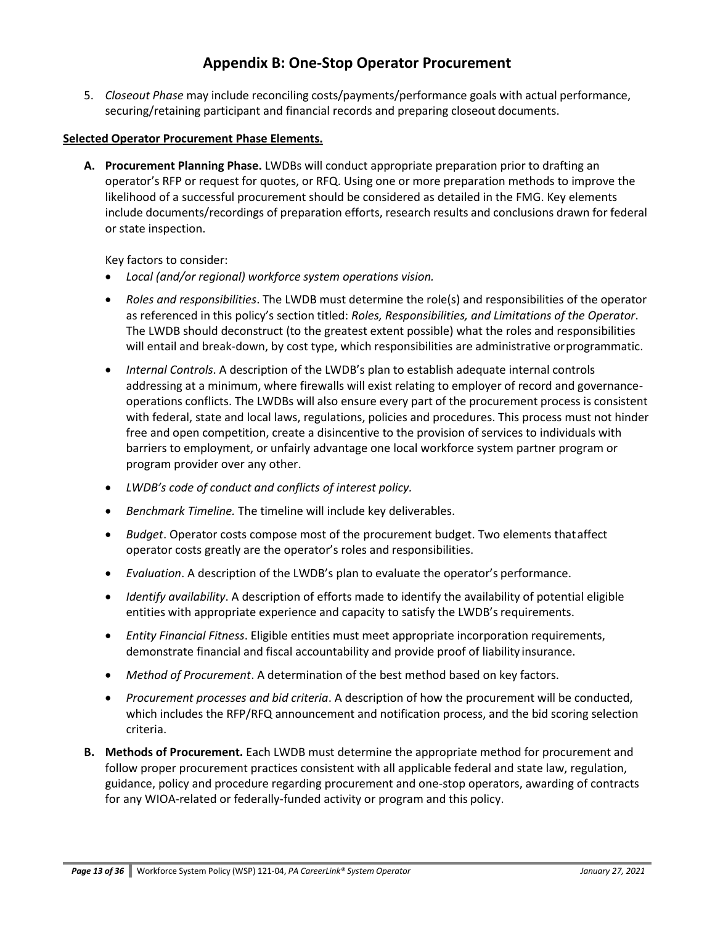5. *Closeout Phase* may include reconciling costs/payments/performance goals with actual performance, securing/retaining participant and financial records and preparing closeout documents.

### **Selected Operator Procurement Phase Elements.**

**A. Procurement Planning Phase.** LWDBs will conduct appropriate preparation prior to drafting an operator's RFP or request for quotes, or RFQ. Using one or more preparation methods to improve the likelihood of a successful procurement should be considered as detailed in the FMG. Key elements include documents/recordings of preparation efforts, research results and conclusions drawn for federal or state inspection.

Key factors to consider:

- *Local (and/or regional) workforce system operations vision.*
- *Roles and responsibilities*. The LWDB must determine the role(s) and responsibilities of the operator as referenced in this policy's section titled: *Roles, Responsibilities, and Limitations of the Operator*. The LWDB should deconstruct (to the greatest extent possible) what the roles and responsibilities will entail and break-down, by cost type, which responsibilities are administrative orprogrammatic.
- *Internal Controls*. A description of the LWDB's plan to establish adequate internal controls addressing at a minimum, where firewalls will exist relating to employer of record and governanceoperations conflicts. The LWDBs will also ensure every part of the procurement process is consistent with federal, state and local laws, regulations, policies and procedures. This process must not hinder free and open competition, create a disincentive to the provision of services to individuals with barriers to employment, or unfairly advantage one local workforce system partner program or program provider over any other.
- *LWDB's code of conduct and conflicts of interest policy.*
- *Benchmark Timeline.* The timeline will include key deliverables.
- *Budget*. Operator costs compose most of the procurement budget. Two elements thataffect operator costs greatly are the operator's roles and responsibilities.
- *Evaluation*. A description of the LWDB's plan to evaluate the operator's performance.
- *Identify availability*. A description of efforts made to identify the availability of potential eligible entities with appropriate experience and capacity to satisfy the LWDB's requirements.
- *Entity Financial Fitness*. Eligible entities must meet appropriate incorporation requirements, demonstrate financial and fiscal accountability and provide proof of liability insurance.
- *Method of Procurement*. A determination of the best method based on key factors.
- *Procurement processes and bid criteria*. A description of how the procurement will be conducted, which includes the RFP/RFQ announcement and notification process, and the bid scoring selection criteria.
- **B. Methods of Procurement.** Each LWDB must determine the appropriate method for procurement and follow proper procurement practices consistent with all applicable federal and state law, regulation, guidance, policy and procedure regarding procurement and one-stop operators, awarding of contracts for any WIOA-related or federally-funded activity or program and this policy.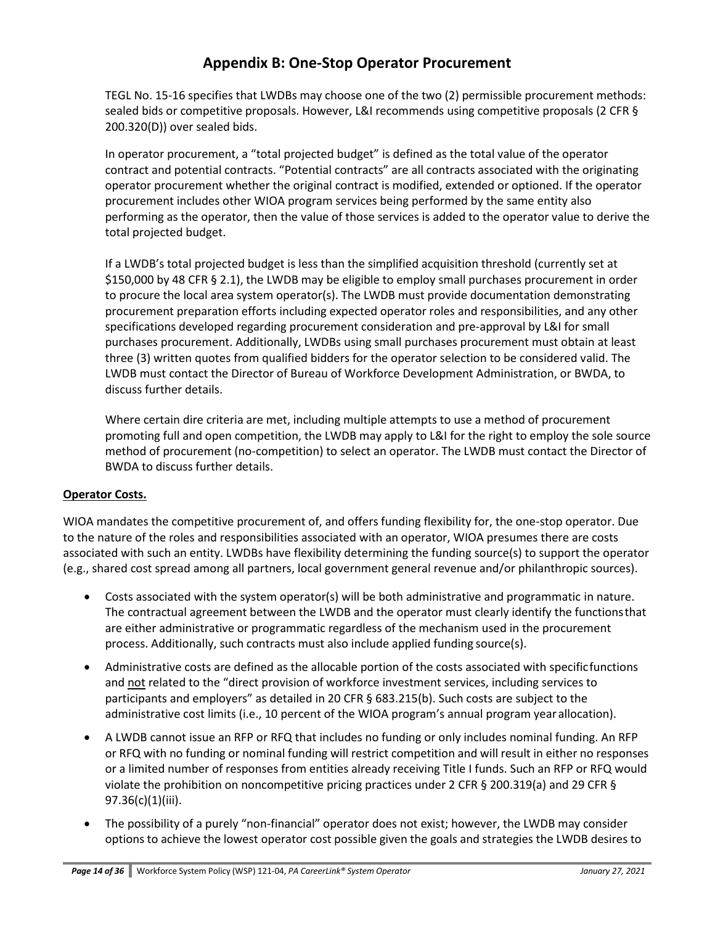TEGL No. 15-16 specifies that LWDBs may choose one of the two (2) permissible procurement methods: sealed bids or competitive proposals. However, L&I recommends using competitive proposals (2 CFR § 200.320(D)) over sealed bids.

In operator procurement, a "total projected budget" is defined as the total value of the operator contract and potential contracts. "Potential contracts" are all contracts associated with the originating operator procurement whether the original contract is modified, extended or optioned. If the operator procurement includes other WIOA program services being performed by the same entity also performing as the operator, then the value of those services is added to the operator value to derive the total projected budget.

If a LWDB's total projected budget is less than the simplified acquisition threshold (currently set at \$150,000 by 48 CFR § 2.1), the LWDB may be eligible to employ small purchases procurement in order to procure the local area system operator(s). The LWDB must provide documentation demonstrating procurement preparation efforts including expected operator roles and responsibilities, and any other specifications developed regarding procurement consideration and pre-approval by L&I for small purchases procurement. Additionally, LWDBs using small purchases procurement must obtain at least three (3) written quotes from qualified bidders for the operator selection to be considered valid. The LWDB must contact the Director of Bureau of Workforce Development Administration, or BWDA, to discuss further details.

Where certain dire criteria are met, including multiple attempts to use a method of procurement promoting full and open competition, the LWDB may apply to L&I for the right to employ the sole source method of procurement (no-competition) to select an operator. The LWDB must contact the Director of BWDA to discuss further details.

### **Operator Costs.**

WIOA mandates the competitive procurement of, and offers funding flexibility for, the one-stop operator. Due to the nature of the roles and responsibilities associated with an operator, WIOA presumes there are costs associated with such an entity. LWDBs have flexibility determining the funding source(s) to support the operator (e.g., shared cost spread among all partners, local government general revenue and/or philanthropic sources).

- Costs associated with the system operator(s) will be both administrative and programmatic in nature. The contractual agreement between the LWDB and the operator must clearly identify the functionsthat are either administrative or programmatic regardless of the mechanism used in the procurement process. Additionally, such contracts must also include applied funding source(s).
- Administrative costs are defined as the allocable portion of the costs associated with specificfunctions and not related to the "direct provision of workforce investment services, including services to participants and employers" as detailed in 20 CFR § 683.215(b). Such costs are subject to the administrative cost limits (i.e., 10 percent of the WIOA program's annual program yearallocation).
- A LWDB cannot issue an RFP or RFQ that includes no funding or only includes nominal funding. An RFP or RFQ with no funding or nominal funding will restrict competition and will result in either no responses or a limited number of responses from entities already receiving Title I funds. Such an RFP or RFQ would violate the prohibition on noncompetitive pricing practices under 2 CFR § 200.319(a) and 29 CFR § 97.36(c)(1)(iii).
- The possibility of a purely "non-financial" operator does not exist; however, the LWDB may consider options to achieve the lowest operator cost possible given the goals and strategies the LWDB desires to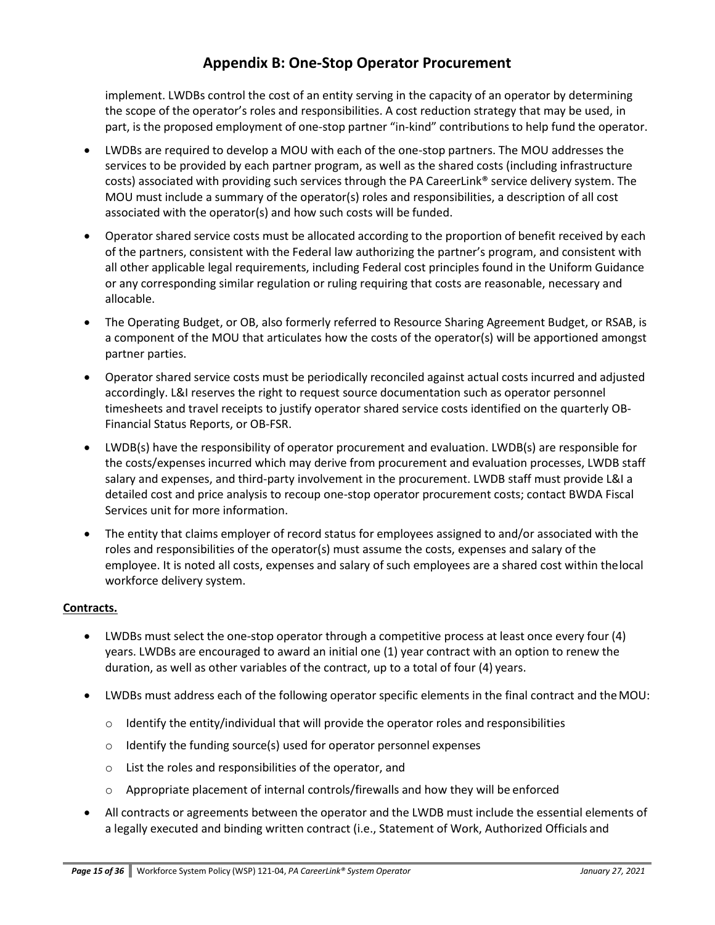implement. LWDBs control the cost of an entity serving in the capacity of an operator by determining the scope of the operator's roles and responsibilities. A cost reduction strategy that may be used, in part, is the proposed employment of one-stop partner "in-kind" contributions to help fund the operator.

- LWDBs are required to develop a MOU with each of the one-stop partners. The MOU addresses the services to be provided by each partner program, as well as the shared costs (including infrastructure costs) associated with providing such services through the PA CareerLink® service delivery system. The MOU must include a summary of the operator(s) roles and responsibilities, a description of all cost associated with the operator(s) and how such costs will be funded.
- Operator shared service costs must be allocated according to the proportion of benefit received by each of the partners, consistent with the Federal law authorizing the partner's program, and consistent with all other applicable legal requirements, including Federal cost principles found in the Uniform Guidance or any corresponding similar regulation or ruling requiring that costs are reasonable, necessary and allocable.
- The Operating Budget, or OB, also formerly referred to Resource Sharing Agreement Budget, or RSAB, is a component of the MOU that articulates how the costs of the operator(s) will be apportioned amongst partner parties.
- Operator shared service costs must be periodically reconciled against actual costs incurred and adjusted accordingly. L&I reserves the right to request source documentation such as operator personnel timesheets and travel receipts to justify operator shared service costs identified on the quarterly OB-Financial Status Reports, or OB-FSR.
- LWDB(s) have the responsibility of operator procurement and evaluation. LWDB(s) are responsible for the costs/expenses incurred which may derive from procurement and evaluation processes, LWDB staff salary and expenses, and third-party involvement in the procurement. LWDB staff must provide L&I a detailed cost and price analysis to recoup one-stop operator procurement costs; contact BWDA Fiscal Services unit for more information.
- The entity that claims employer of record status for employees assigned to and/or associated with the roles and responsibilities of the operator(s) must assume the costs, expenses and salary of the employee. It is noted all costs, expenses and salary of such employees are a shared cost within thelocal workforce delivery system.

### **Contracts.**

- LWDBs must select the one-stop operator through a competitive process at least once every four (4) years. LWDBs are encouraged to award an initial one (1) year contract with an option to renew the duration, as well as other variables of the contract, up to a total of four (4) years.
- LWDBs must address each of the following operator specific elements in the final contract and theMOU:
	- o Identify the entity/individual that will provide the operator roles and responsibilities
	- o Identify the funding source(s) used for operator personnel expenses
	- o List the roles and responsibilities of the operator, and
	- $\circ$  Appropriate placement of internal controls/firewalls and how they will be enforced
- All contracts or agreements between the operator and the LWDB must include the essential elements of a legally executed and binding written contract (i.e., Statement of Work, Authorized Officials and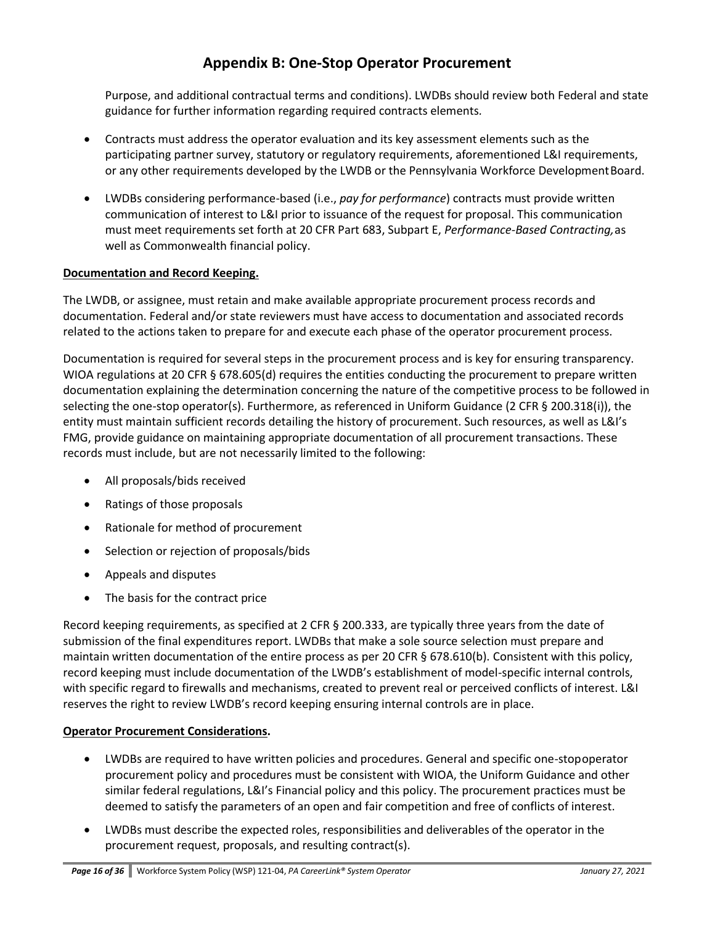Purpose, and additional contractual terms and conditions). LWDBs should review both Federal and state guidance for further information regarding required contracts elements*.*

- Contracts must address the operator evaluation and its key assessment elements such as the participating partner survey, statutory or regulatory requirements, aforementioned L&I requirements, or any other requirements developed by the LWDB or the Pennsylvania Workforce DevelopmentBoard.
- LWDBs considering performance-based (i.e., *pay for performance*) contracts must provide written communication of interest to L&I prior to issuance of the request for proposal. This communication must meet requirements set forth at 20 CFR Part 683, Subpart E, *Performance-Based Contracting,*as well as Commonwealth financial policy.

### **Documentation and Record Keeping.**

The LWDB, or assignee, must retain and make available appropriate procurement process records and documentation. Federal and/or state reviewers must have access to documentation and associated records related to the actions taken to prepare for and execute each phase of the operator procurement process.

Documentation is required for several steps in the procurement process and is key for ensuring transparency. WIOA regulations at 20 CFR § 678.605(d) requires the entities conducting the procurement to prepare written documentation explaining the determination concerning the nature of the competitive process to be followed in selecting the one-stop operator(s). Furthermore, as referenced in Uniform Guidance (2 CFR § 200.318(i)), the entity must maintain sufficient records detailing the history of procurement. Such resources, as well as L&I's FMG, provide guidance on maintaining appropriate documentation of all procurement transactions. These records must include, but are not necessarily limited to the following:

- All proposals/bids received
- Ratings of those proposals
- Rationale for method of procurement
- Selection or rejection of proposals/bids
- Appeals and disputes
- The basis for the contract price

Record keeping requirements, as specified at 2 CFR § 200.333, are typically three years from the date of submission of the final expenditures report. LWDBs that make a sole source selection must prepare and maintain written documentation of the entire process as per 20 CFR § 678.610(b). Consistent with this policy, record keeping must include documentation of the LWDB's establishment of model-specific internal controls, with specific regard to firewalls and mechanisms, created to prevent real or perceived conflicts of interest. L&I reserves the right to review LWDB's record keeping ensuring internal controls are in place.

### **Operator Procurement Considerations.**

- LWDBs are required to have written policies and procedures. General and specific one-stopoperator procurement policy and procedures must be consistent with WIOA, the Uniform Guidance and other similar federal regulations, L&I's Financial policy and this policy. The procurement practices must be deemed to satisfy the parameters of an open and fair competition and free of conflicts of interest.
- LWDBs must describe the expected roles, responsibilities and deliverables of the operator in the procurement request, proposals, and resulting contract(s).